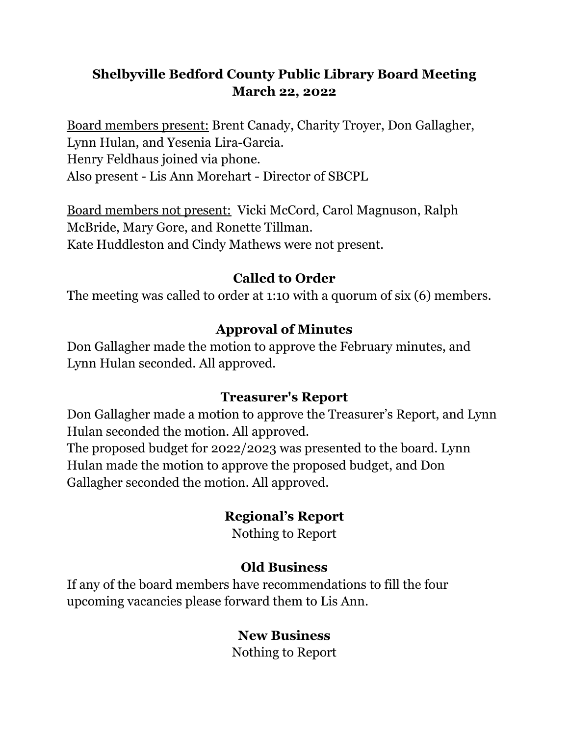# **Shelbyville Bedford County Public Library Board Meeting March 22, 2022**

Board members present: Brent Canady, Charity Troyer, Don Gallagher, Lynn Hulan, and Yesenia Lira-Garcia. Henry Feldhaus joined via phone. Also present - Lis Ann Morehart - Director of SBCPL

Board members not present: Vicki McCord, Carol Magnuson, Ralph McBride, Mary Gore, and Ronette Tillman. Kate Huddleston and Cindy Mathews were not present.

#### **Called to Order**

The meeting was called to order at 1:10 with a quorum of six (6) members.

#### **Approval of Minutes**

Don Gallagher made the motion to approve the February minutes, and Lynn Hulan seconded. All approved.

#### **Treasurer's Report**

Don Gallagher made a motion to approve the Treasurer's Report, and Lynn Hulan seconded the motion. All approved.

The proposed budget for 2022/2023 was presented to the board. Lynn Hulan made the motion to approve the proposed budget, and Don Gallagher seconded the motion. All approved.

### **Regional's Report**

Nothing to Report

### **Old Business**

If any of the board members have recommendations to fill the four upcoming vacancies please forward them to Lis Ann.

### **New Business**

Nothing to Report